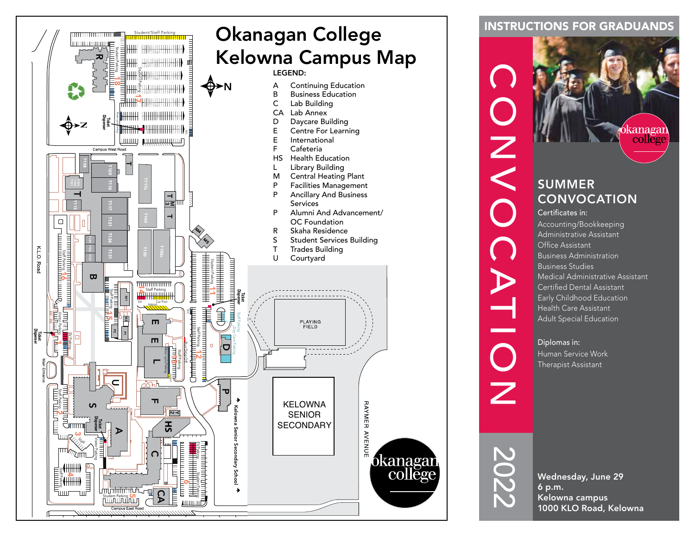

### INSTRUCTIONS FOR GRADUANDS